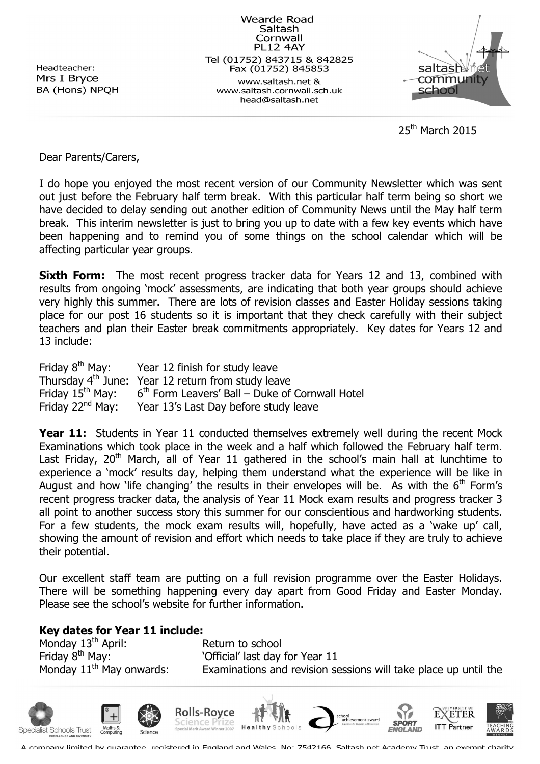Headteacher: Mrs I Bryce BA (Hons) NPQH

**Wearde Road** Saltash Cornwall **PL12 4AY** Tel (01752) 843715 & 842825 Fax (01752) 845853 www.saltash.net & www.saltash.cornwall.sch.uk head@saltash.net



 $25<sup>th</sup>$  March 2015

Dear Parents/Carers,

I do hope you enjoyed the most recent version of our Community Newsletter which was sent out just before the February half term break. With this particular half term being so short we have decided to delay sending out another edition of Community News until the May half term break. This interim newsletter is just to bring you up to date with a few key events which have been happening and to remind you of some things on the school calendar which will be affecting particular year groups.

**Sixth Form:** The most recent progress tracker data for Years 12 and 13, combined with results from ongoing 'mock' assessments, are indicating that both year groups should achieve very highly this summer. There are lots of revision classes and Easter Holiday sessions taking place for our post 16 students so it is important that they check carefully with their subject teachers and plan their Easter break commitments appropriately. Key dates for Years 12 and 13 include:

Friday  $8<sup>th</sup>$  May: Year 12 finish for study leave Thursday  $4^{th}$  June: Year 12 return from study leave<br>Friday 15<sup>th</sup> May: 6<sup>th</sup> Form Leavers' Ball – Duke of Friday  $15^{th}$  May: 6<sup>th</sup> Form Leavers' Ball – Duke of Cornwall Hotel<br>Friday 22<sup>nd</sup> May: Year 13's Last Day before study leave Year 13's Last Day before study leave

**Year 11:** Students in Year 11 conducted themselves extremely well during the recent Mock Examinations which took place in the week and a half which followed the February half term. Last Friday, 20<sup>th</sup> March, all of Year 11 gathered in the school's main hall at lunchtime to experience a 'mock' results day, helping them understand what the experience will be like in August and how 'life changing' the results in their envelopes will be. As with the  $6<sup>th</sup>$  Form's recent progress tracker data, the analysis of Year 11 Mock exam results and progress tracker 3 all point to another success story this summer for our conscientious and hardworking students. For a few students, the mock exam results will, hopefully, have acted as a 'wake up' call, showing the amount of revision and effort which needs to take place if they are truly to achieve their potential.

Our excellent staff team are putting on a full revision programme over the Easter Holidays. There will be something happening every day apart from Good Friday and Easter Monday. Please see the school's website for further information.

## **Key dates for Year 11 include:**

Monday 13<sup>th</sup> April: Return to school Friday 8<sup>th</sup> May: 'Christial' last day for Year 11

Monday  $11<sup>th</sup>$  May onwards: Examinations and revision sessions will take place up until the



A company limited by quarantee, registered in England and Wales, No: 7542166, Saltash.net Academy Trust, an exempt charity